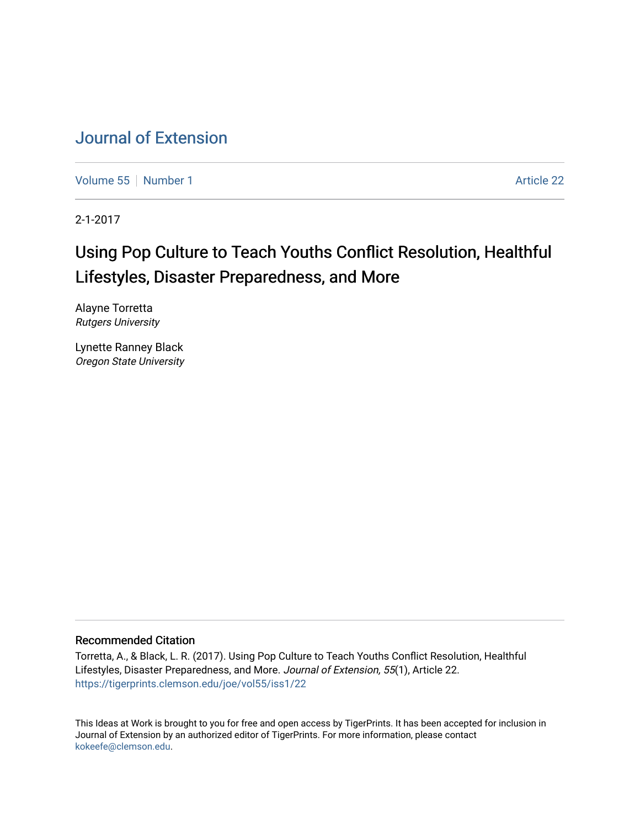# [Journal of Extension](https://tigerprints.clemson.edu/joe)

[Volume 55](https://tigerprints.clemson.edu/joe/vol55) [Number 1](https://tigerprints.clemson.edu/joe/vol55/iss1) Article 22

2-1-2017

# Using Pop Culture to Teach Youths Conflict Resolution, Healthful Lifestyles, Disaster Preparedness, and More

Alayne Torretta Rutgers University

Lynette Ranney Black Oregon State University

#### Recommended Citation

Torretta, A., & Black, L. R. (2017). Using Pop Culture to Teach Youths Conflict Resolution, Healthful Lifestyles, Disaster Preparedness, and More. Journal of Extension, 55(1), Article 22. <https://tigerprints.clemson.edu/joe/vol55/iss1/22>

This Ideas at Work is brought to you for free and open access by TigerPrints. It has been accepted for inclusion in Journal of Extension by an authorized editor of TigerPrints. For more information, please contact [kokeefe@clemson.edu](mailto:kokeefe@clemson.edu).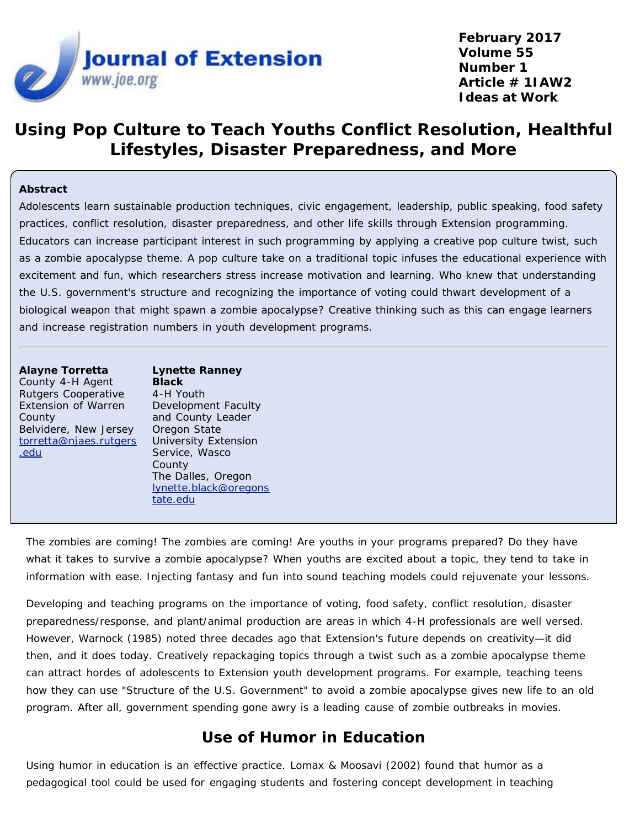

**February 2017 Volume 55 Number 1 Article # 1IAW2 Ideas at Work**

## **Using Pop Culture to Teach Youths Conflict Resolution, Healthful Lifestyles, Disaster Preparedness, and More**

#### **Abstract**

Adolescents learn sustainable production techniques, civic engagement, leadership, public speaking, food safety practices, conflict resolution, disaster preparedness, and other life skills through Extension programming. Educators can increase participant interest in such programming by applying a creative pop culture twist, such as a zombie apocalypse theme. A pop culture take on a traditional topic infuses the educational experience with excitement and fun, which researchers stress increase motivation and learning. Who knew that understanding the U.S. government's structure and recognizing the importance of voting could thwart development of a biological weapon that might spawn a zombie apocalypse? Creative thinking such as this can engage learners and increase registration numbers in youth development programs.

#### **Alayne Torretta**

County 4-H Agent Rutgers Cooperative Extension of Warren County Belvidere, New Jersey [torretta@njaes.rutgers](mailto:torretta@njaes.rutgers.edu) [.edu](mailto:torretta@njaes.rutgers.edu)

**Lynette Ranney Black** 4-H Youth Development Faculty and County Leader Oregon State University Extension Service, Wasco County The Dalles, Oregon [lynette.black@oregons](mailto:lynette.black@oregonstate.edu) [tate.edu](mailto:lynette.black@oregonstate.edu)

The zombies are coming! The zombies are coming! Are youths in your programs prepared? Do they have what it takes to survive a zombie apocalypse? When youths are excited about a topic, they tend to take in information with ease. Injecting fantasy and fun into sound teaching models could rejuvenate your lessons.

Developing and teaching programs on the importance of voting, food safety, conflict resolution, disaster preparedness/response, and plant/animal production are areas in which 4-H professionals are well versed. However, Warnock (1985) noted three decades ago that Extension's future depends on creativity—it did then, and it does today. Creatively repackaging topics through a twist such as a zombie apocalypse theme can attract hordes of adolescents to Extension youth development programs. For example, teaching teens how they can use "Structure of the U.S. Government" to avoid a zombie apocalypse gives new life to an old program. After all, government spending gone awry is a leading cause of zombie outbreaks in movies.

#### **Use of Humor in Education**

Using humor in education is an effective practice. Lomax & Moosavi (2002) found that humor as a pedagogical tool could be used for engaging students and fostering concept development in teaching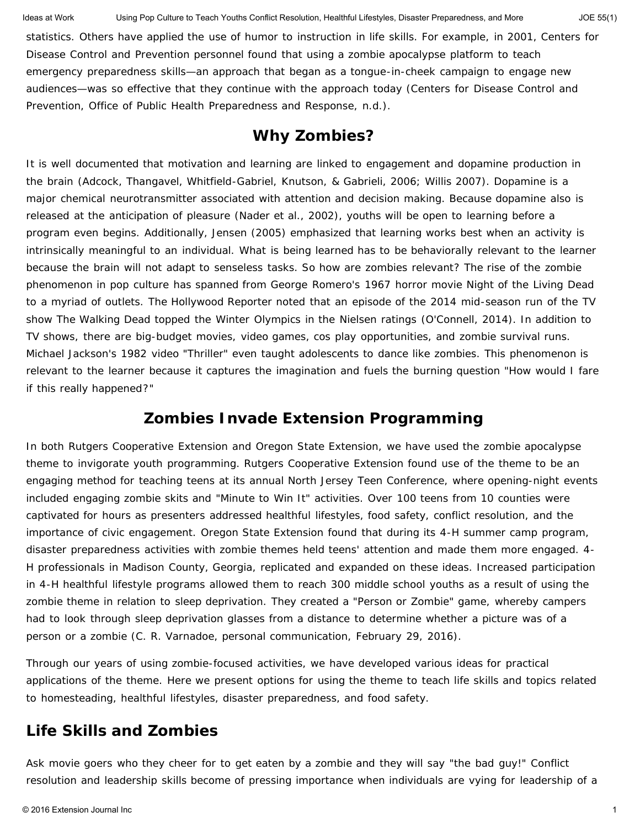statistics. Others have applied the use of humor to instruction in life skills. For example, in 2001, Centers for Disease Control and Prevention personnel found that using a zombie apocalypse platform to teach emergency preparedness skills—an approach that began as a tongue-in-cheek campaign to engage new audiences—was so effective that they continue with the approach today (Centers for Disease Control and Prevention, Office of Public Health Preparedness and Response, n.d.).

#### **Why Zombies?**

It is well documented that motivation and learning are linked to engagement and dopamine production in the brain (Adcock, Thangavel, Whitfield-Gabriel, Knutson, & Gabrieli, 2006; Willis 2007). Dopamine is a major chemical neurotransmitter associated with attention and decision making. Because dopamine also is released at the anticipation of pleasure (Nader et al., 2002), youths will be open to learning before a program even begins. Additionally, Jensen (2005) emphasized that learning works best when an activity is intrinsically meaningful to an individual. What is being learned has to be behaviorally relevant to the learner because the brain will not adapt to senseless tasks. So how are zombies relevant? The rise of the zombie phenomenon in pop culture has spanned from George Romero's 1967 horror movie *Night of the Living Dead* to a myriad of outlets. *The Hollywood Reporter* noted that an episode of the 2014 mid-season run of the TV show *The Walking Dead* topped the Winter Olympics in the Nielsen ratings (O'Connell, 2014). In addition to TV shows, there are big-budget movies, video games, cos play opportunities, and zombie survival runs. Michael Jackson's 1982 video "Thriller" even taught adolescents to dance like zombies. This phenomenon is relevant to the learner because it captures the imagination and fuels the burning question "How would I fare if this really happened?"

### **Zombies Invade Extension Programming**

In both Rutgers Cooperative Extension and Oregon State Extension, we have used the zombie apocalypse theme to invigorate youth programming. Rutgers Cooperative Extension found use of the theme to be an engaging method for teaching teens at its annual North Jersey Teen Conference, where opening-night events included engaging zombie skits and "Minute to Win It" activities. Over 100 teens from 10 counties were captivated for hours as presenters addressed healthful lifestyles, food safety, conflict resolution, and the importance of civic engagement. Oregon State Extension found that during its 4-H summer camp program, disaster preparedness activities with zombie themes held teens' attention and made them more engaged. 4- H professionals in Madison County, Georgia, replicated and expanded on these ideas. Increased participation in 4-H healthful lifestyle programs allowed them to reach 300 middle school youths as a result of using the zombie theme in relation to sleep deprivation. They created a "Person or Zombie" game, whereby campers had to look through sleep deprivation glasses from a distance to determine whether a picture was of a person or a zombie (C. R. Varnadoe, personal communication, February 29, 2016).

Through our years of using zombie-focused activities, we have developed various ideas for practical applications of the theme. Here we present options for using the theme to teach life skills and topics related to homesteading, healthful lifestyles, disaster preparedness, and food safety.

#### **Life Skills and Zombies**

Ask movie goers who they cheer for to get eaten by a zombie and they will say "the bad guy!" Conflict resolution and leadership skills become of pressing importance when individuals are vying for leadership of a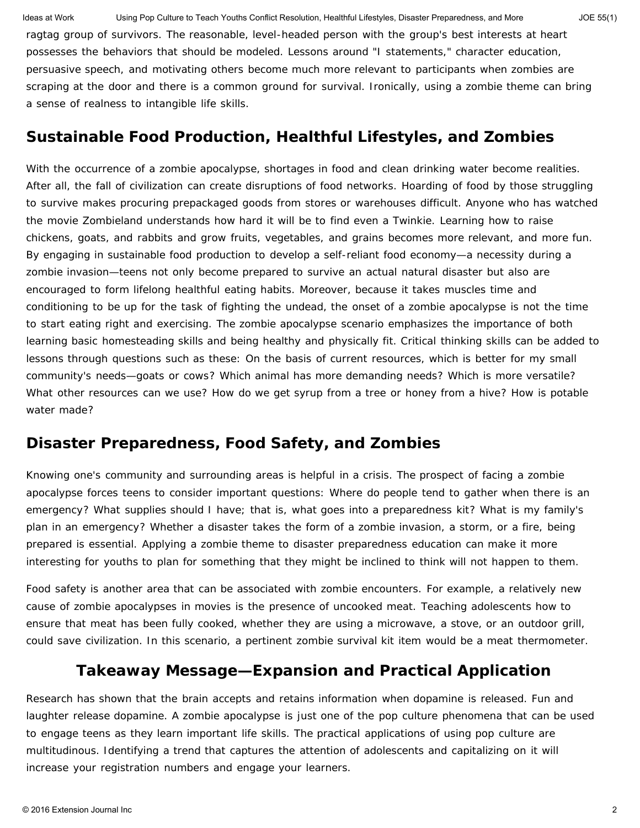Ideas at Work Using Pop Culture to Teach Youths Conflict Resolution, Healthful Lifestyles, Disaster Preparedness, and More JOE 55(1)

ragtag group of survivors. The reasonable, level-headed person with the group's best interests at heart possesses the behaviors that should be modeled. Lessons around "I statements," character education, persuasive speech, and motivating others become much more relevant to participants when zombies are scraping at the door and there is a common ground for survival. Ironically, using a zombie theme can bring a sense of realness to intangible life skills.

### **Sustainable Food Production, Healthful Lifestyles, and Zombies**

With the occurrence of a zombie apocalypse, shortages in food and clean drinking water become realities. After all, the fall of civilization can create disruptions of food networks. Hoarding of food by those struggling to survive makes procuring prepackaged goods from stores or warehouses difficult. Anyone who has watched the movie *Zombieland* understands how hard it will be to find even a Twinkie. Learning how to raise chickens, goats, and rabbits and grow fruits, vegetables, and grains becomes more relevant, and more fun. By engaging in sustainable food production to develop a self-reliant food economy—a necessity during a zombie invasion—teens not only become prepared to survive an actual natural disaster but also are encouraged to form lifelong healthful eating habits. Moreover, because it takes muscles time and conditioning to be up for the task of fighting the undead, the onset of a zombie apocalypse is not the time to start eating right and exercising. The zombie apocalypse scenario emphasizes the importance of both learning basic homesteading skills and being healthy and physically fit. Critical thinking skills can be added to lessons through questions such as these: On the basis of current resources, which is better for my small community's needs—goats or cows? Which animal has more demanding needs? Which is more versatile? What other resources can we use? How do we get syrup from a tree or honey from a hive? How is potable water made?

### **Disaster Preparedness, Food Safety, and Zombies**

Knowing one's community and surrounding areas is helpful in a crisis. The prospect of facing a zombie apocalypse forces teens to consider important questions: Where do people tend to gather when there is an emergency? What supplies should I have; that is, what goes into a preparedness kit? What is my family's plan in an emergency? Whether a disaster takes the form of a zombie invasion, a storm, or a fire, being prepared is essential. Applying a zombie theme to disaster preparedness education can make it more interesting for youths to plan for something that they might be inclined to think will not happen to them.

Food safety is another area that can be associated with zombie encounters. For example, a relatively new cause of zombie apocalypses in movies is the presence of uncooked meat. Teaching adolescents how to ensure that meat has been fully cooked, whether they are using a microwave, a stove, or an outdoor grill, could save civilization. In this scenario, a pertinent zombie survival kit item would be a meat thermometer.

### **Takeaway Message—Expansion and Practical Application**

Research has shown that the brain accepts and retains information when dopamine is released. Fun and laughter release dopamine. A zombie apocalypse is just one of the pop culture phenomena that can be used to engage teens as they learn important life skills. The practical applications of using pop culture are multitudinous. Identifying a trend that captures the attention of adolescents and capitalizing on it will increase your registration numbers and engage your learners.